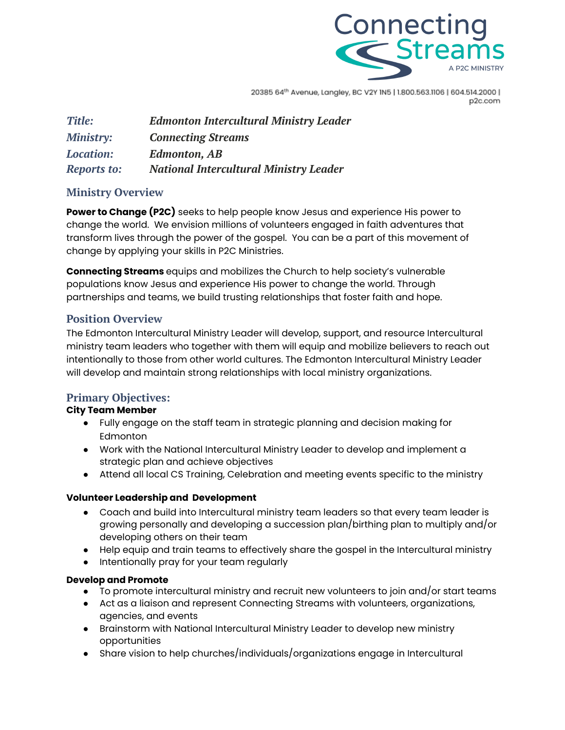

20385 64th Avenue, Langley, BC V2Y IN5 | 1.800.563.1106 | 604.514.2000 | p2c.com

| Title:             | <b>Edmonton Intercultural Ministry Leader</b> |
|--------------------|-----------------------------------------------|
| <b>Ministry:</b>   | <b>Connecting Streams</b>                     |
| <b>Location:</b>   | <b>Edmonton, AB</b>                           |
| <b>Reports to:</b> | <b>National Intercultural Ministry Leader</b> |

# **Ministry Overview**

**Power to Change (P2C)** seeks to help people know Jesus and experience His power to change the world. We envision millions of volunteers engaged in faith adventures that transform lives through the power of the gospel. You can be a part of this movement of change by applying your skills in P2C Ministries.

**Connecting Streams** equips and mobilizes the Church to help society's vulnerable populations know Jesus and experience His power to change the world. Through partnerships and teams, we build trusting relationships that foster faith and hope.

# **Position Overview**

The Edmonton Intercultural Ministry Leader will develop, support, and resource Intercultural ministry team leaders who together with them will equip and mobilize believers to reach out intentionally to those from other world cultures. The Edmonton Intercultural Ministry Leader will develop and maintain strong relationships with local ministry organizations.

# **Primary Objectives:**

#### **City Team Member**

- Fully engage on the staff team in strategic planning and decision making for Edmonton
- Work with the National Intercultural Ministry Leader to develop and implement a strategic plan and achieve objectives
- Attend all local CS Training, Celebration and meeting events specific to the ministry

#### **Volunteer Leadership and Development**

- Coach and build into Intercultural ministry team leaders so that every team leader is growing personally and developing a succession plan/birthing plan to multiply and/or developing others on their team
- Help equip and train teams to effectively share the gospel in the Intercultural ministry
- Intentionally pray for your team regularly

#### **Develop and Promote**

- To promote intercultural ministry and recruit new volunteers to join and/or start teams
- Act as a liaison and represent Connecting Streams with volunteers, organizations, agencies, and events
- Brainstorm with National Intercultural Ministry Leader to develop new ministry opportunities
- Share vision to help churches/individuals/organizations engage in Intercultural